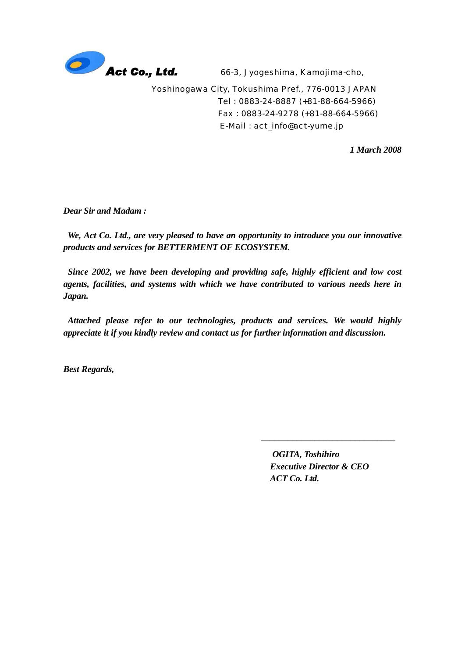

66-3, Jyogeshima, Kamojima-cho,

Yoshinogawa City, Tokushima Pref., 776-0013 JAPAN Tel : 0883-24-8887 (+81-88-664-5966) Fax : 0883-24-9278 (+81-88-664-5966) E-Mail : act\_info@act-yume.jp

*1 March 2008* 

*Dear Sir and Madam :* 

*We, Act Co. Ltd., are very pleased to have an opportunity to introduce you our innovative products and services for BETTERMENT OF ECOSYSTEM.* 

 *Since 2002, we have been developing and providing safe, highly efficient and low cost agents, facilities, and systems with which we have contributed to various needs here in Japan.* 

*Attached please refer to our technologies, products and services. We would highly appreciate it if you kindly review and contact us for further information and discussion.* 

*Best Regards,* 

*OGITA, Toshihiro Executive Director & CEO ACT Co. Ltd.* 

\_\_\_\_\_\_\_\_\_\_\_\_\_\_\_\_\_\_\_\_\_\_\_\_\_\_\_\_\_\_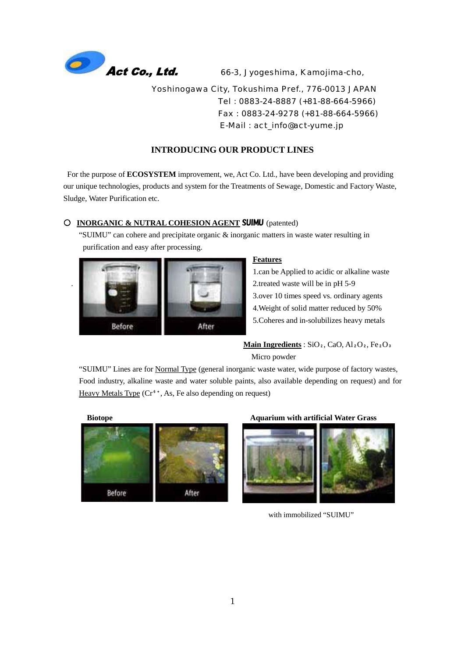

66-3, Jyogeshima, Kamojima-cho,

Yoshinogawa City, Tokushima Pref., 776-0013 JAPAN Tel : 0883-24-8887 (+81-88-664-5966) Fax : 0883-24-9278 (+81-88-664-5966) E-Mail : act\_info@act-yume.jp

# **INTRODUCING OUR PRODUCT LINES**

For the purpose of **ECOSYSTEM** improvement, we, Act Co. Ltd., have been developing and providing our unique technologies, products and system for the Treatments of Sewage, Domestic and Factory Waste, Sludge, Water Purification etc.

## **INORGANIC & NUTRAL COHESION AGENT** SUIMU (patented)

 "SUIMU" can cohere and precipitate organic & inorganic matters in waste water resulting in purification and easy after processing.



#### **Features**

1.can be Applied to acidic or alkaline waste . 2.treated waste will be in pH 5-9 3.over 10 times speed vs. ordinary agents 4.Weight of solid matter reduced by 50% 5.Coheres and in-solubilizes heavy metals

# Main Ingredients :  $SiO<sub>2</sub>$ ,  $CaO$ ,  $Al<sub>2</sub>O<sub>2</sub>$ ,  $Fe<sub>2</sub>O<sub>3</sub>$ Micro powder

 "SUIMU" Lines are for Normal Type (general inorganic waste water, wide purpose of factory wastes, Food industry, alkaline waste and water soluble paints, also available depending on request) and for Heavy Metals Type  $(Cr^6, As)$ , Fe also depending on request)



#### **Biotope Aquarium with artificial Water Grass**



with immobilized "SUIMU"